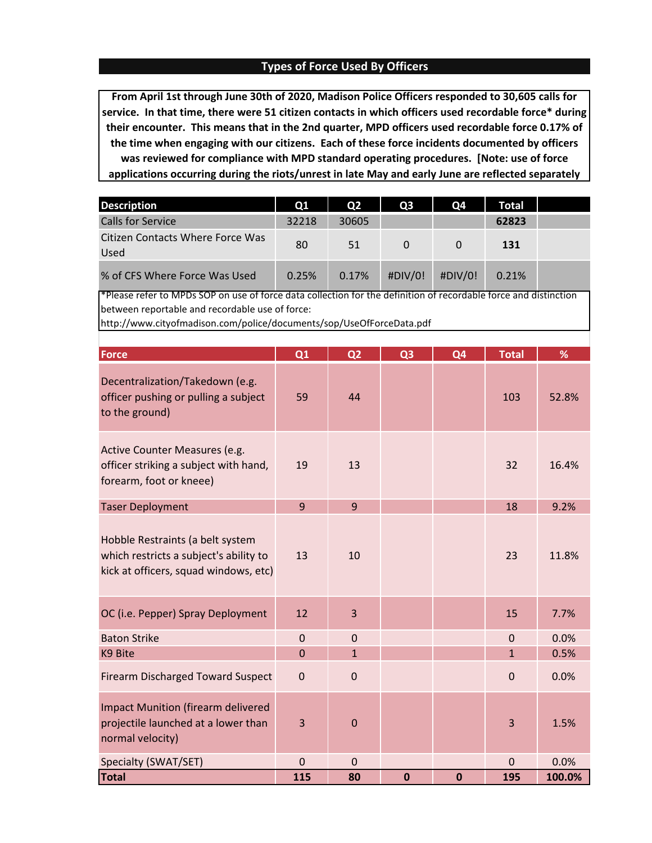## **Types of Force Used By Officers**

**From April 1st through June 30th of 2020, Madison Police Officers responded to 30,605 calls for service. In that time, there were 51 citizen contacts in which officers used recordable force\* during their encounter. This means that in the 2nd quarter, MPD officers used recordable force 0.17% of the time when engaging with our citizens. Each of these force incidents documented by officers was reviewed for compliance with MPD standard operating procedures. [Note: use of force applications occurring during the riots/unrest in late May and early June are reflected separately** 

| <b>Description</b>                                               | <b>O1</b> | O <sub>2</sub> | O <sub>3</sub>      | <b>O4</b> | Total |   |
|------------------------------------------------------------------|-----------|----------------|---------------------|-----------|-------|---|
| <b>Calls for Service</b>                                         | 32218     | 30605          |                     |           | 62823 |   |
| Citizen Contacts Where Force Was<br>Used                         | 80        | 51             | $\Omega$            | $\Omega$  | 131   |   |
| % of CFS Where Force Was Used<br><u>n an I</u><br>. .<br>$ \sim$ | 0.25%     | 0.17%<br>. .   | #DIV/0!<br>$\cdots$ | #DIV/0!   | 0.21% | . |

\*Please refer to MPDs SOP on use of force data collection for the definition of recordable force and distinction between reportable and recordable use of force:

http://www.cityofmadison.com/police/documents/sop/UseOfForceData.pdf

| Force                                                                                                               | Q1             | Q <sub>2</sub> | Q <sub>3</sub> | Q <sub>4</sub> | <b>Total</b>   | %      |
|---------------------------------------------------------------------------------------------------------------------|----------------|----------------|----------------|----------------|----------------|--------|
| Decentralization/Takedown (e.g.<br>officer pushing or pulling a subject<br>to the ground)                           | 59             | 44             |                |                | 103            | 52.8%  |
| Active Counter Measures (e.g.<br>officer striking a subject with hand,<br>forearm, foot or kneee)                   | 19             | 13             |                |                | 32             | 16.4%  |
| <b>Taser Deployment</b>                                                                                             | $\overline{9}$ | 9              |                |                | 18             | 9.2%   |
| Hobble Restraints (a belt system<br>which restricts a subject's ability to<br>kick at officers, squad windows, etc) | 13             | 10             |                |                | 23             | 11.8%  |
| OC (i.e. Pepper) Spray Deployment                                                                                   | 12             | 3              |                |                | 15             | 7.7%   |
| <b>Baton Strike</b>                                                                                                 | $\mathbf 0$    | $\overline{0}$ |                |                | $\overline{0}$ | 0.0%   |
| K9 Bite                                                                                                             | $\overline{0}$ | $\mathbf{1}$   |                |                | $\mathbf{1}$   | 0.5%   |
| <b>Firearm Discharged Toward Suspect</b>                                                                            | $\overline{0}$ | $\mathbf{0}$   |                |                | $\Omega$       | 0.0%   |
| <b>Impact Munition (firearm delivered</b><br>projectile launched at a lower than<br>normal velocity)                | 3              | $\mathbf 0$    |                |                | 3              | 1.5%   |
| Specialty (SWAT/SET)                                                                                                | $\mathbf 0$    | $\mathbf 0$    |                |                | $\Omega$       | 0.0%   |
| <b>Total</b>                                                                                                        | 115            | 80             | $\bf{0}$       | $\bf{0}$       | 195            | 100.0% |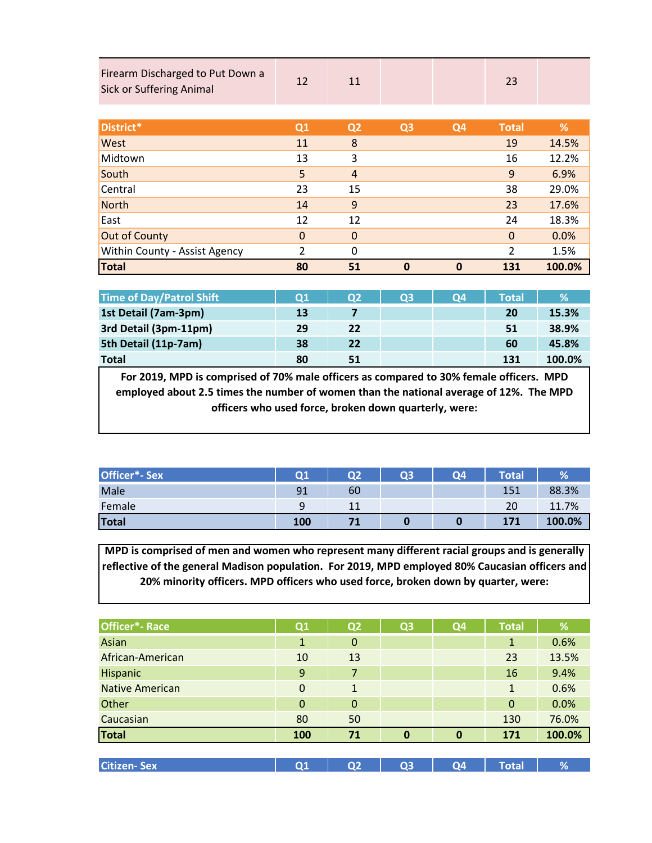| Firearm Discharged to Put Down a<br><b>Sick or Suffering Animal</b> | 12             | 11             |                |                | 23            |        |
|---------------------------------------------------------------------|----------------|----------------|----------------|----------------|---------------|--------|
| District*                                                           | Q1             | Q <sub>2</sub> | Q <sub>3</sub> | Q <sub>4</sub> | <b>Total</b>  | %      |
| West                                                                | 11             | 8              |                |                | 19            | 14.5%  |
|                                                                     |                |                |                |                |               |        |
| Midtown                                                             | 13             | 3              |                |                | 16            | 12.2%  |
| South                                                               | 5              | $\overline{4}$ |                |                | 9             | 6.9%   |
| Central                                                             | 23             | 15             |                |                | 38            | 29.0%  |
| <b>North</b>                                                        | 14             | 9              |                |                | 23            | 17.6%  |
| East                                                                | 12             | 12             |                |                | 24            | 18.3%  |
| <b>Out of County</b>                                                | $\mathbf 0$    | $\mathbf 0$    |                |                | $\mathbf{0}$  | 0.0%   |
| Within County - Assist Agency                                       | $\overline{2}$ | 0              |                |                | $\mathcal{P}$ | 1.5%   |
| <b>Total</b>                                                        | 80             | 51             | $\mathbf 0$    | $\mathbf 0$    | 131           | 100.0% |

| <b>Time of Day/Patrol Shift</b> | <b>O1</b> | <b>O2</b> | 03 | <b>O4</b> | <b>Total</b> | 1%     |
|---------------------------------|-----------|-----------|----|-----------|--------------|--------|
| 1st Detail (7am-3pm)            | 13        |           |    |           | 20           | 15.3%  |
| 3rd Detail (3pm-11pm)           | 29        | 22        |    |           | 51           | 38.9%  |
| 5th Detail (11p-7am)            | 38        | 22        |    |           | 60           | 45.8%  |
| <b>Total</b>                    | 80        | 51        |    |           | 131          | 100.0% |

**For 2019, MPD is comprised of 70% male officers as compared to 30% female officers. MPD employed about 2.5 times the number of women than the national average of 12%. The MPD officers who used force, broken down quarterly, were:**

| Officer*- Sex | 01  | O <sub>2</sub> | <b>Q3</b> | <b>O4</b> | Total | $\%$   |
|---------------|-----|----------------|-----------|-----------|-------|--------|
| Male          | 91  | 60             |           |           | 151   | 88.3%  |
| Female        | q   |                |           |           | 20    | 11.7%  |
| <b>Total</b>  | 100 |                |           |           | 171   | 100.0% |

**MPD is comprised of men and women who represent many different racial groups and is generally reflective of the general Madison population. For 2019, MPD employed 80% Caucasian officers and 20% minority officers. MPD officers who used force, broken down by quarter, were:**

| Officer <sup>*</sup> -Race | Q1             | Q <sub>2</sub> | Q <sub>3</sub> | Q <sub>4</sub> | <b>Total</b> | %      |
|----------------------------|----------------|----------------|----------------|----------------|--------------|--------|
| Asian                      | $\mathbf{1}$   | $\mathbf 0$    |                |                | $\mathbf 1$  | 0.6%   |
| African-American           | 10             | 13             |                |                | 23           | 13.5%  |
| Hispanic                   | 9              | $\overline{7}$ |                |                | 16           | 9.4%   |
| <b>Native American</b>     | $\Omega$       | 1              |                |                | 1            | 0.6%   |
| Other                      | $\Omega$       | $\Omega$       |                |                | $\mathbf 0$  | 0.0%   |
| Caucasian                  | 80             | 50             |                |                | 130          | 76.0%  |
| <b>Total</b>               | 100            | 71             | $\mathbf{0}$   | $\mathbf{0}$   | 171          | 100.0% |
|                            |                |                |                |                |              |        |
| <b>Citizen-Sex</b>         | Q <sub>1</sub> | Q <sub>2</sub> | Q <sub>3</sub> | Q <sub>4</sub> | <b>Total</b> | %      |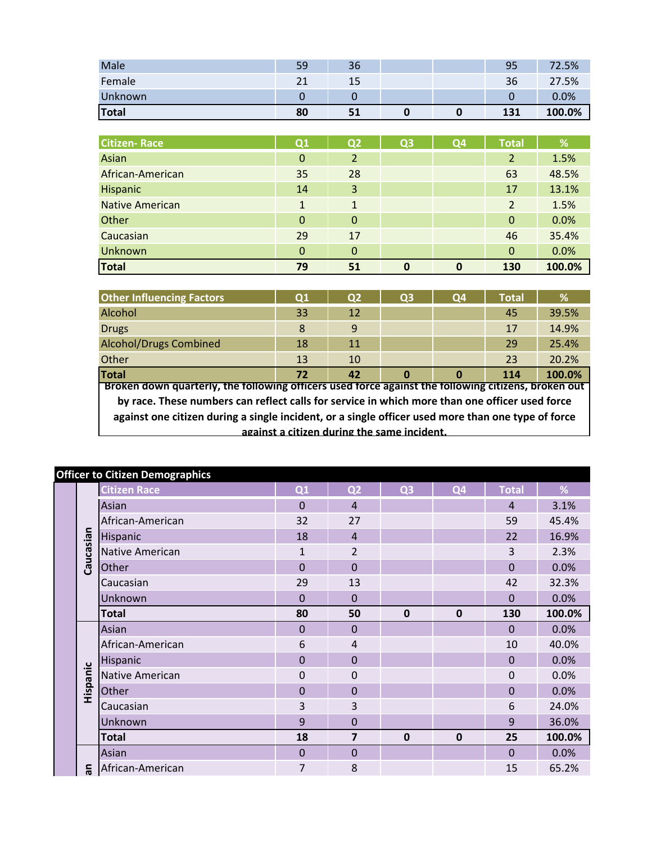| Male         | 59            | 36 |  | 95  | 72.5%  |
|--------------|---------------|----|--|-----|--------|
| Female       | $\mathcal{L}$ | 15 |  | 36  | 27.5%  |
| Unknown      |               |    |  |     | 0.0%   |
| <b>Total</b> | 80            | 51 |  | 131 | 100.0% |

| <b>Citizen-Race</b>    | Q1           | Q <sub>2</sub> | Q <sub>3</sub> | Q4 | <b>Total</b>   | %      |
|------------------------|--------------|----------------|----------------|----|----------------|--------|
| Asian                  | $\mathbf{0}$ | 2              |                |    | $\overline{2}$ | 1.5%   |
| African-American       | 35           | 28             |                |    | 63             | 48.5%  |
| Hispanic               | 14           | 3              |                |    | 17             | 13.1%  |
| <b>Native American</b> | $\mathbf{1}$ | 1              |                |    | $\overline{2}$ | 1.5%   |
| Other                  | $\Omega$     | $\mathbf 0$    |                |    | $\Omega$       | 0.0%   |
| Caucasian              | 29           | 17             |                |    | 46             | 35.4%  |
| Unknown                | $\Omega$     | $\mathbf 0$    |                |    | $\mathbf 0$    | 0.0%   |
| <b>Total</b>           | 79           | 51             | 0              | 0  | 130            | 100.0% |

| <b>Other Influencing Factors</b>                                                                    | Q1                                                | Q <sub>2</sub> | <b>O3</b>                                   | Q4 | <b>Total</b> | %     |  |  |  |  |
|-----------------------------------------------------------------------------------------------------|---------------------------------------------------|----------------|---------------------------------------------|----|--------------|-------|--|--|--|--|
| Alcohol                                                                                             | 33                                                | 12             |                                             |    | 45           | 39.5% |  |  |  |  |
| <b>Drugs</b>                                                                                        | 8                                                 | 9              |                                             |    | 17           | 14.9% |  |  |  |  |
| <b>Alcohol/Drugs Combined</b>                                                                       | 18                                                | 11             |                                             |    | 29           | 25.4% |  |  |  |  |
| Other                                                                                               | 13                                                | 10             |                                             |    | 23           | 20.2% |  |  |  |  |
| <b>Total</b>                                                                                        | 100.0%<br>72<br>42<br>$\Omega$<br>$\Omega$<br>114 |                |                                             |    |              |       |  |  |  |  |
| Broken down quarterly, the following officers used force against the following citizens, broken out |                                                   |                |                                             |    |              |       |  |  |  |  |
| by race. These numbers can reflect calls for service in which more than one officer used force      |                                                   |                |                                             |    |              |       |  |  |  |  |
| against one citizen during a single incident, or a single officer used more than one type of force  |                                                   |                |                                             |    |              |       |  |  |  |  |
|                                                                                                     |                                                   |                | against a citizen during the same incident. |    |              |       |  |  |  |  |

|           | <b>Officer to Citizen Demographics</b> |                |                         |                |                |                |        |
|-----------|----------------------------------------|----------------|-------------------------|----------------|----------------|----------------|--------|
|           | <b>Citizen Race</b>                    | Q1             | Q <sub>2</sub>          | Q <sub>3</sub> | Q <sub>4</sub> | <b>Total</b>   | %      |
|           | Asian                                  | $\Omega$       | $\overline{4}$          |                |                | $\overline{4}$ | 3.1%   |
|           | African-American                       | 32             | 27                      |                |                | 59             | 45.4%  |
| Caucasian | Hispanic                               | 18             | $\overline{4}$          |                |                | 22             | 16.9%  |
|           | Native American                        | $\mathbf{1}$   | $\overline{2}$          |                |                | 3              | 2.3%   |
|           | Other                                  | $\overline{0}$ | $\overline{0}$          |                |                | $\mathbf{0}$   | 0.0%   |
|           | Caucasian                              | 29             | 13                      |                |                | 42             | 32.3%  |
|           | Unknown                                | $\mathbf 0$    | $\mathbf 0$             |                |                | $\mathbf 0$    | 0.0%   |
|           | <b>Total</b>                           | 80             | 50                      | $\mathbf 0$    | $\bf{0}$       | 130            | 100.0% |
|           | Asian                                  | $\mathbf 0$    | $\mathbf 0$             |                |                | $\Omega$       | 0.0%   |
|           | African-American                       | 6              | $\overline{4}$          |                |                | 10             | 40.0%  |
|           |                                        |                |                         |                |                |                |        |
|           | Hispanic                               | $\overline{0}$ | $\overline{0}$          |                |                | $\Omega$       | 0.0%   |
|           | Native American                        | 0              | $\Omega$                |                |                | $\mathbf 0$    | 0.0%   |
|           | Other                                  | $\mathbf 0$    | $\mathbf 0$             |                |                | $\mathbf 0$    | 0.0%   |
| Hispanic  | Caucasian                              | 3              | 3                       |                |                | 6              | 24.0%  |
|           | Unknown                                | 9              | $\mathbf 0$             |                |                | 9              | 36.0%  |
|           | <b>Total</b>                           | 18             | $\overline{\mathbf{z}}$ | $\mathbf 0$    | $\bf{0}$       | 25             | 100.0% |
|           | Asian                                  | $\bf 0$        | $\mathbf 0$             |                |                | $\mathbf 0$    | 0.0%   |